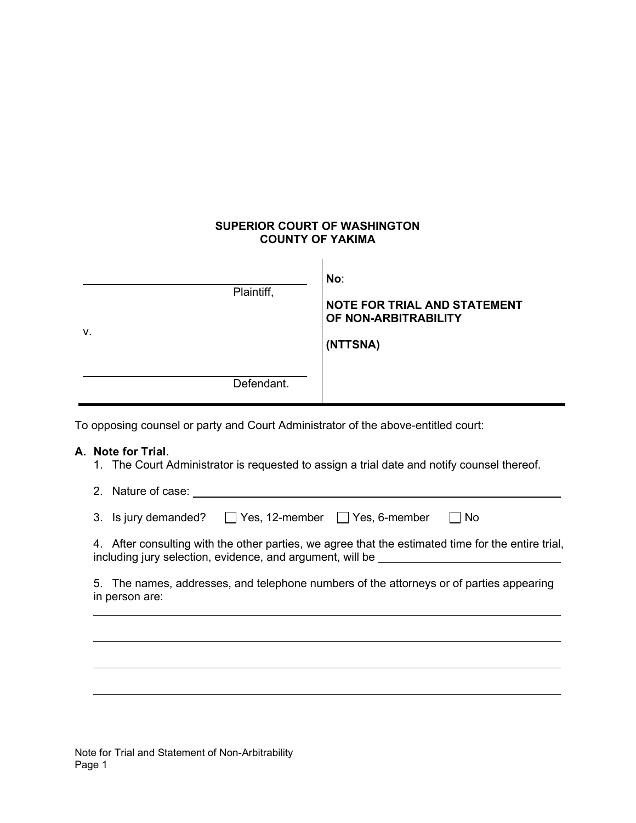## SUPERIOR COURT OF WASHINGTON COUNTY OF YAKIMA

| v. | Plaintiff, | No:<br>NOTE FOR TRIAL AND STATEMENT<br>OF NON-ARBITRABILITY<br>(NTTSNA) |
|----|------------|-------------------------------------------------------------------------|
|    | Defendant. |                                                                         |

To opposing counsel or party and Court Administrator of the above-entitled court:

## A. Note for Trial.

1. The Court Administrator is requested to assign a trial date and notify counsel thereof.

| 2. Nature of case:                                                                                                                                                                     |
|----------------------------------------------------------------------------------------------------------------------------------------------------------------------------------------|
| 3. Is jury demanded? $\Box$ Yes, 12-member $\Box$ Yes, 6-member<br><b>No</b>                                                                                                           |
| 4. After consulting with the other parties, we agree that the estimated time for the entire trial,<br>including jury selection, evidence, and argument, will be ______________________ |
| 5. The names, addresses, and telephone numbers of the attorneys or of parties appearing<br>in person are:                                                                              |
|                                                                                                                                                                                        |
|                                                                                                                                                                                        |
|                                                                                                                                                                                        |